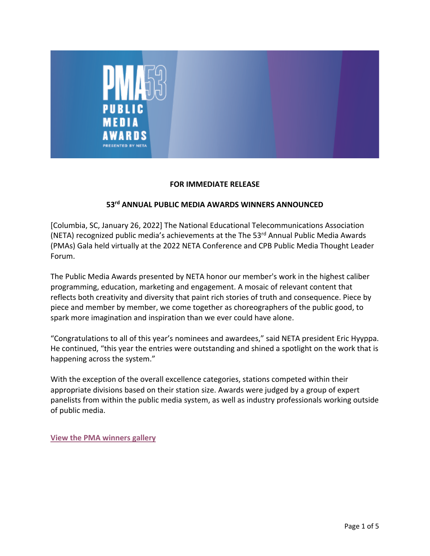

#### **FOR IMMEDIATE RELEASE**

# **53rd ANNUAL PUBLIC MEDIA AWARDS WINNERS ANNOUNCED**

[Columbia, SC, January 26, 2022] The National Educational Telecommunications Association (NETA) recognized public media's achievements at the The 53<sup>rd</sup> Annual Public Media Awards (PMAs) Gala held virtually at the 2022 NETA Conference and CPB Public Media Thought Leader Forum.

The Public Media Awards presented by NETA honor our member's work in the highest caliber programming, education, marketing and engagement. A mosaic of relevant content that reflects both creativity and diversity that paint rich stories of truth and consequence. Piece by piece and member by member, we come together as choreographers of the public good, to spark more imagination and inspiration than we ever could have alone.

"Congratulations to all of this year's nominees and awardees," said NETA president Eric Hyyppa. He continued, "this year the entries were outstanding and shined a spotlight on the work that is happening across the system."

With the exception of the overall excellence categories, stations competed within their appropriate divisions based on their station size. Awards were judged by a group of expert panelists from within the public media system, as well as industry professionals working outside of public media.

**View the PMA winners gallery**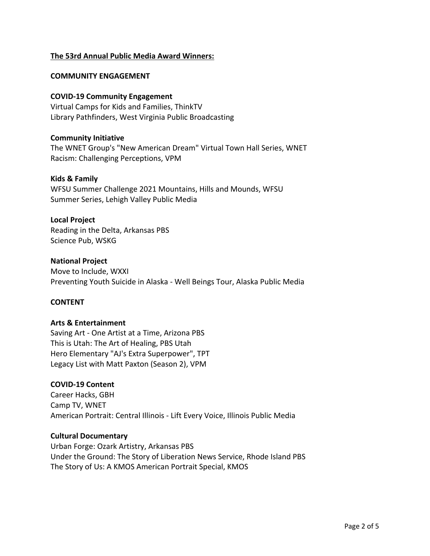# **The 53rd Annual Public Media Award Winners:**

#### **COMMUNITY ENGAGEMENT**

#### **COVID-19 Community Engagement**

Virtual Camps for Kids and Families, ThinkTV Library Pathfinders, West Virginia Public Broadcasting

#### **Community Initiative**

The WNET Group's "New American Dream" Virtual Town Hall Series, WNET Racism: Challenging Perceptions, VPM

#### **Kids & Family**

WFSU Summer Challenge 2021 Mountains, Hills and Mounds, WFSU Summer Series, Lehigh Valley Public Media

#### **Local Project**

Reading in the Delta, Arkansas PBS Science Pub, WSKG

#### **National Project**

Move to Include, WXXI Preventing Youth Suicide in Alaska - Well Beings Tour, Alaska Public Media

## **CONTENT**

## **Arts & Entertainment**

Saving Art - One Artist at a Time, Arizona PBS This is Utah: The Art of Healing, PBS Utah Hero Elementary "AJ's Extra Superpower", TPT Legacy List with Matt Paxton (Season 2), VPM

## **COVID-19 Content**

Career Hacks, GBH Camp TV, WNET American Portrait: Central Illinois - Lift Every Voice, Illinois Public Media

## **Cultural Documentary**

Urban Forge: Ozark Artistry, Arkansas PBS Under the Ground: The Story of Liberation News Service, Rhode Island PBS The Story of Us: A KMOS American Portrait Special, KMOS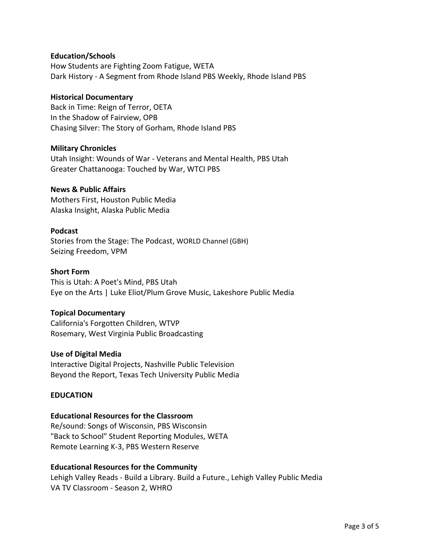## **Education/Schools**

How Students are Fighting Zoom Fatigue, WETA Dark History - A Segment from Rhode Island PBS Weekly, Rhode Island PBS

## **Historical Documentary**

Back in Time: Reign of Terror, OETA In the Shadow of Fairview, OPB Chasing Silver: The Story of Gorham, Rhode Island PBS

## **Military Chronicles**

Utah Insight: Wounds of War - Veterans and Mental Health, PBS Utah Greater Chattanooga: Touched by War, WTCI PBS

## **News & Public Affairs**

Mothers First, Houston Public Media Alaska Insight, Alaska Public Media

# **Podcast**

Stories from the Stage: The Podcast, WORLD Channel (GBH) Seizing Freedom, VPM

## **Short Form**

This is Utah: A Poet's Mind, PBS Utah Eye on the Arts | Luke Eliot/Plum Grove Music, Lakeshore Public Media

## **Topical Documentary**

California's Forgotten Children, WTVP Rosemary, West Virginia Public Broadcasting

## **Use of Digital Media**

Interactive Digital Projects, Nashville Public Television Beyond the Report, Texas Tech University Public Media

## **EDUCATION**

## **Educational Resources for the Classroom**

Re/sound: Songs of Wisconsin, PBS Wisconsin "Back to School" Student Reporting Modules, WETA Remote Learning K-3, PBS Western Reserve

## **Educational Resources for the Community**

Lehigh Valley Reads - Build a Library. Build a Future., Lehigh Valley Public Media VA TV Classroom - Season 2, WHRO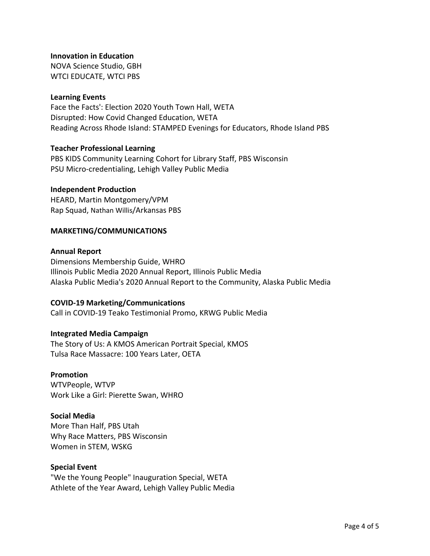**Innovation in Education**

NOVA Science Studio, GBH WTCI EDUCATE, WTCI PBS

## **Learning Events**

Face the Facts': Election 2020 Youth Town Hall, WETA Disrupted: How Covid Changed Education, WETA Reading Across Rhode Island: STAMPED Evenings for Educators, Rhode Island PBS

## **Teacher Professional Learning**

PBS KIDS Community Learning Cohort for Library Staff, PBS Wisconsin PSU Micro-credentialing, Lehigh Valley Public Media

# **Independent Production**

HEARD, Martin Montgomery/VPM Rap Squad, Nathan Willis/Arkansas PBS

# **MARKETING/COMMUNICATIONS**

## **Annual Report**

Dimensions Membership Guide, WHRO Illinois Public Media 2020 Annual Report, Illinois Public Media Alaska Public Media's 2020 Annual Report to the Community, Alaska Public Media

## **COVID-19 Marketing/Communications**

Call in COVID-19 Teako Testimonial Promo, KRWG Public Media

## **Integrated Media Campaign**

The Story of Us: A KMOS American Portrait Special, KMOS Tulsa Race Massacre: 100 Years Later, OETA

## **Promotion**

WTVPeople, WTVP Work Like a Girl: Pierette Swan, WHRO

# **Social Media**

More Than Half, PBS Utah Why Race Matters, PBS Wisconsin Women in STEM, WSKG

## **Special Event**

"We the Young People" Inauguration Special, WETA Athlete of the Year Award, Lehigh Valley Public Media